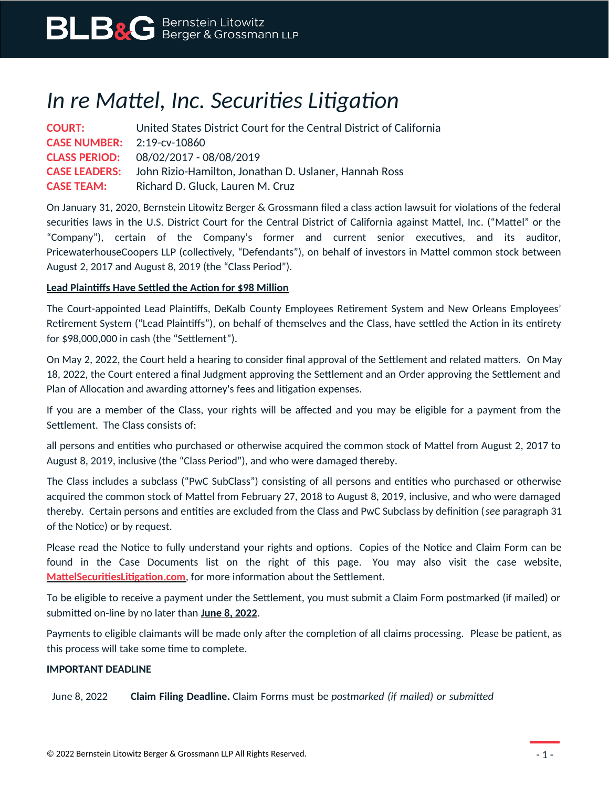# *In re Mattel, Inc. Securities Litigation*

| <b>COURT:</b>                     | United States District Court for the Central District of California        |
|-----------------------------------|----------------------------------------------------------------------------|
| <b>CASE NUMBER:</b> 2:19-CV-10860 |                                                                            |
|                                   | <b>CLASS PERIOD:</b> 08/02/2017 - 08/08/2019                               |
|                                   | <b>CASE LEADERS:</b> John Rizio-Hamilton, Jonathan D. Uslaner, Hannah Ross |
| <b>CASE TEAM:</b>                 | Richard D. Gluck, Lauren M. Cruz                                           |

On January 31, 2020, Bernstein Litowitz Berger & Grossmann filed a class action lawsuit for violations of the federal securities laws in the U.S. District Court for the Central District of California against Mattel, Inc. ("Mattel" or the "Company"), certain of the Company's former and current senior executives, and its auditor, PricewaterhouseCoopers LLP (collectively, "Defendants"), on behalf of investors in Mattel common stock between August 2, 2017 and August 8, 2019 (the "Class Period").

### **Lead Plaintiffs Have Settled the Action for \$98 Million**

The Court-appointed Lead Plaintiffs, DeKalb County Employees Retirement System and New Orleans Employees' Retirement System ("Lead Plaintiffs"), on behalf of themselves and the Class, have settled the Action in its entirety for \$98,000,000 in cash (the "Settlement").

On May 2, 2022, the Court held a hearing to consider final approval of the Settlement and related matters. On May 18, 2022, the Court entered a final Judgment approving the Settlement and an Order approving the Settlement and Plan of Allocation and awarding attorney's fees and litigation expenses.

If you are a member of the Class, your rights will be affected and you may be eligible for a payment from the Settlement. The Class consists of:

all persons and entities who purchased or otherwise acquired the common stock of Mattel from August 2, 2017 to August 8, 2019, inclusive (the "Class Period"), and who were damaged thereby.

The Class includes a subclass ("PwC SubClass") consisting of all persons and entities who purchased or otherwise acquired the common stock of Mattel from February 27, 2018 to August 8, 2019, inclusive, and who were damaged thereby. Certain persons and entities are excluded from the Class and PwC Subclass by definition (*see* paragraph 31 of the Notice) or by request.

Please read the Notice to fully understand your rights and options. Copies of the Notice and Claim Form can be found in the Case Documents list on the right of this page. You may also visit the case website, **[MattelSecuritiesLitigation.com](https://www.mattelsecuritieslitigation.com/)**, for more information about the Settlement.

To be eligible to receive a payment under the Settlement, you must submit a Claim Form postmarked (if mailed) or submitted on-line by no later than **June 8, 2022**.

Payments to eligible claimants will be made only after the completion of all claims processing. Please be patient, as this process will take some time to complete.

### **IMPORTANT DEADLINE**

June 8, 2022 **Claim Filing Deadline.** Claim Forms must be *postmarked (if mailed) or submitted*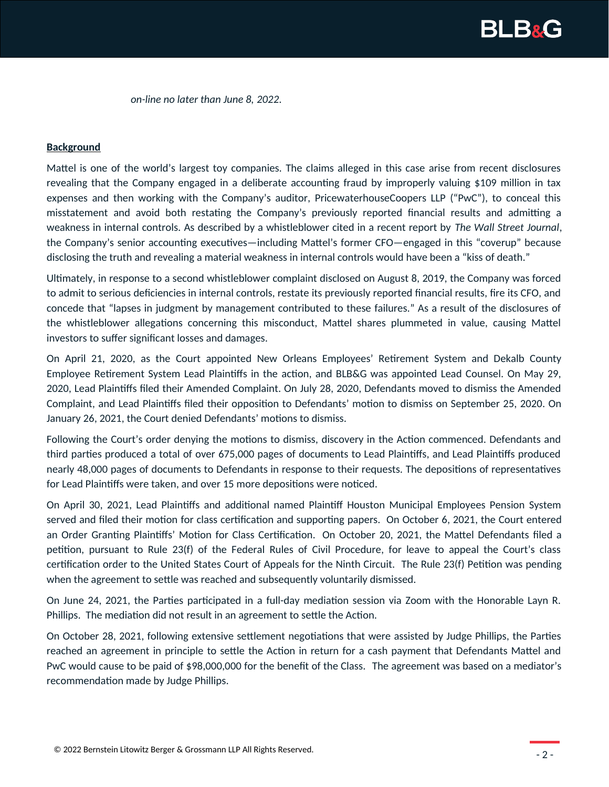

*on-line no later than June 8, 2022*.

#### **Background**

Mattel is one of the world's largest toy companies. The claims alleged in this case arise from recent disclosures revealing that the Company engaged in a deliberate accounting fraud by improperly valuing \$109 million in tax expenses and then working with the Company's auditor, PricewaterhouseCoopers LLP ("PwC"), to conceal this misstatement and avoid both restating the Company's previously reported financial results and admitting a weakness in internal controls. As described by a whistleblower cited in a recent report by *The Wall Street Journal*, the Company's senior accounting executives—including Mattel's former CFO—engaged in this "coverup" because disclosing the truth and revealing a material weakness in internal controls would have been a "kiss of death."

Ultimately, in response to a second whistleblower complaint disclosed on August 8, 2019, the Company was forced to admit to serious deficiencies in internal controls, restate its previously reported financial results, fire its CFO, and concede that "lapses in judgment by management contributed to these failures." As a result of the disclosures of the whistleblower allegations concerning this misconduct, Mattel shares plummeted in value, causing Mattel investors to suffer significant losses and damages.

On April 21, 2020, as the Court appointed New Orleans Employees' Retirement System and Dekalb County Employee Retirement System Lead Plaintiffs in the action, and BLB&G was appointed Lead Counsel. On May 29, 2020, Lead Plaintiffs filed their Amended Complaint. On July 28, 2020, Defendants moved to dismiss the Amended Complaint, and Lead Plaintiffs filed their opposition to Defendants' motion to dismiss on September 25, 2020. On January 26, 2021, the Court denied Defendants' motions to dismiss.

Following the Court's order denying the motions to dismiss, discovery in the Action commenced. Defendants and third parties produced a total of over 675,000 pages of documents to Lead Plaintiffs, and Lead Plaintiffs produced nearly 48,000 pages of documents to Defendants in response to their requests. The depositions of representatives for Lead Plaintiffs were taken, and over 15 more depositions were noticed.

On April 30, 2021, Lead Plaintiffs and additional named Plaintiff Houston Municipal Employees Pension System served and filed their motion for class certification and supporting papers. On October 6, 2021, the Court entered an Order Granting Plaintiffs' Motion for Class Certification. On October 20, 2021, the Mattel Defendants filed a petition, pursuant to Rule 23(f) of the Federal Rules of Civil Procedure, for leave to appeal the Court's class certification order to the United States Court of Appeals for the Ninth Circuit. The Rule 23(f) Petition was pending when the agreement to settle was reached and subsequently voluntarily dismissed.

On June 24, 2021, the Parties participated in a full-day mediation session via Zoom with the Honorable Layn R. Phillips. The mediation did not result in an agreement to settle the Action.

On October 28, 2021, following extensive settlement negotiations that were assisted by Judge Phillips, the Parties reached an agreement in principle to settle the Action in return for a cash payment that Defendants Mattel and PwC would cause to be paid of \$98,000,000 for the benefit of the Class. The agreement was based on a mediator's recommendation made by Judge Phillips.